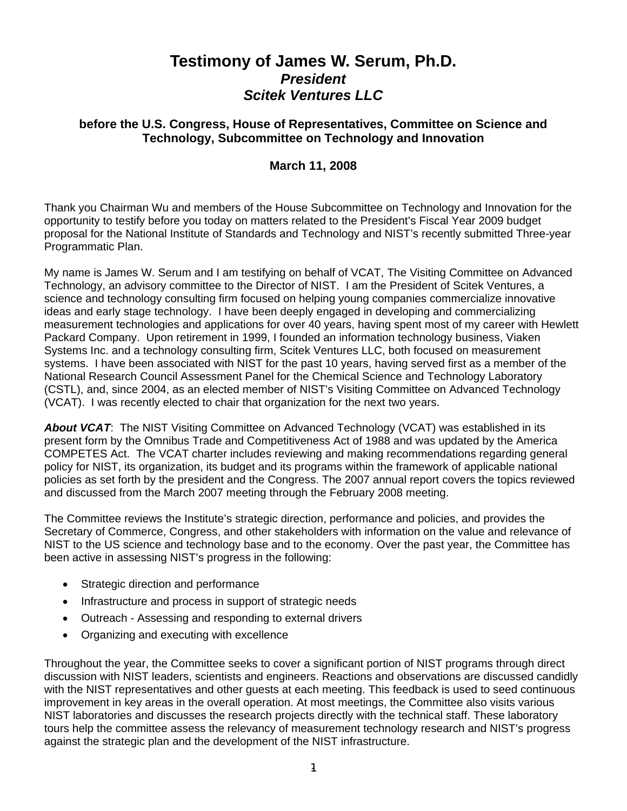# **Testimony of James W. Serum, Ph.D.**  *President Scitek Ventures LLC*

## **before the U.S. Congress, House of Representatives, Committee on Science and Technology, Subcommittee on Technology and Innovation**

## **March 11, 2008**

Thank you Chairman Wu and members of the House Subcommittee on Technology and Innovation for the opportunity to testify before you today on matters related to the President's Fiscal Year 2009 budget proposal for the National Institute of Standards and Technology and NIST's recently submitted Three-year Programmatic Plan.

My name is James W. Serum and I am testifying on behalf of VCAT, The Visiting Committee on Advanced Technology, an advisory committee to the Director of NIST. I am the President of Scitek Ventures, a science and technology consulting firm focused on helping young companies commercialize innovative ideas and early stage technology. I have been deeply engaged in developing and commercializing measurement technologies and applications for over 40 years, having spent most of my career with Hewlett Packard Company. Upon retirement in 1999, I founded an information technology business, Viaken Systems Inc. and a technology consulting firm, Scitek Ventures LLC, both focused on measurement systems. I have been associated with NIST for the past 10 years, having served first as a member of the National Research Council Assessment Panel for the Chemical Science and Technology Laboratory (CSTL), and, since 2004, as an elected member of NIST's Visiting Committee on Advanced Technology (VCAT). I was recently elected to chair that organization for the next two years.

**About VCAT:** The NIST Visiting Committee on Advanced Technology (VCAT) was established in its present form by the Omnibus Trade and Competitiveness Act of 1988 and was updated by the America COMPETES Act. The VCAT charter includes reviewing and making recommendations regarding general policy for NIST, its organization, its budget and its programs within the framework of applicable national policies as set forth by the president and the Congress. The 2007 annual report covers the topics reviewed and discussed from the March 2007 meeting through the February 2008 meeting.

The Committee reviews the Institute's strategic direction, performance and policies, and provides the Secretary of Commerce, Congress, and other stakeholders with information on the value and relevance of NIST to the US science and technology base and to the economy. Over the past year, the Committee has been active in assessing NIST's progress in the following:

- Strategic direction and performance
- Infrastructure and process in support of strategic needs
- Outreach Assessing and responding to external drivers
- Organizing and executing with excellence

Throughout the year, the Committee seeks to cover a significant portion of NIST programs through direct discussion with NIST leaders, scientists and engineers. Reactions and observations are discussed candidly with the NIST representatives and other guests at each meeting. This feedback is used to seed continuous improvement in key areas in the overall operation. At most meetings, the Committee also visits various NIST laboratories and discusses the research projects directly with the technical staff. These laboratory tours help the committee assess the relevancy of measurement technology research and NIST's progress against the strategic plan and the development of the NIST infrastructure.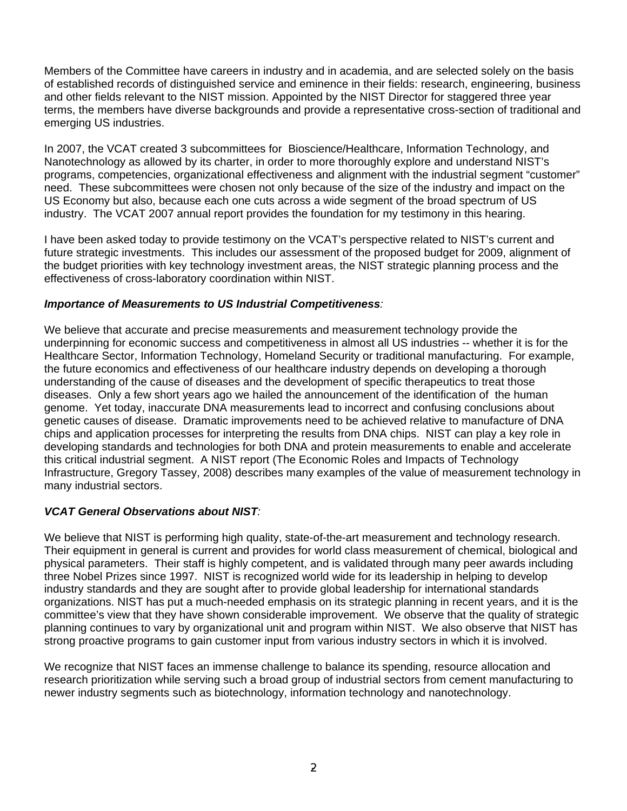Members of the Committee have careers in industry and in academia, and are selected solely on the basis of established records of distinguished service and eminence in their fields: research, engineering, business and other fields relevant to the NIST mission. Appointed by the NIST Director for staggered three year terms, the members have diverse backgrounds and provide a representative cross-section of traditional and emerging US industries.

In 2007, the VCAT created 3 subcommittees for Bioscience/Healthcare, Information Technology, and Nanotechnology as allowed by its charter, in order to more thoroughly explore and understand NIST's programs, competencies, organizational effectiveness and alignment with the industrial segment "customer" need. These subcommittees were chosen not only because of the size of the industry and impact on the US Economy but also, because each one cuts across a wide segment of the broad spectrum of US industry. The VCAT 2007 annual report provides the foundation for my testimony in this hearing.

I have been asked today to provide testimony on the VCAT's perspective related to NIST's current and future strategic investments. This includes our assessment of the proposed budget for 2009, alignment of the budget priorities with key technology investment areas, the NIST strategic planning process and the effectiveness of cross-laboratory coordination within NIST.

#### *Importance of Measurements to US Industrial Competitiveness:*

We believe that accurate and precise measurements and measurement technology provide the underpinning for economic success and competitiveness in almost all US industries -- whether it is for the Healthcare Sector, Information Technology, Homeland Security or traditional manufacturing. For example, the future economics and effectiveness of our healthcare industry depends on developing a thorough understanding of the cause of diseases and the development of specific therapeutics to treat those diseases. Only a few short years ago we hailed the announcement of the identification of the human genome. Yet today, inaccurate DNA measurements lead to incorrect and confusing conclusions about genetic causes of disease. Dramatic improvements need to be achieved relative to manufacture of DNA chips and application processes for interpreting the results from DNA chips. NIST can play a key role in developing standards and technologies for both DNA and protein measurements to enable and accelerate this critical industrial segment. A NIST report (The Economic Roles and Impacts of Technology Infrastructure, Gregory Tassey, 2008) describes many examples of the value of measurement technology in many industrial sectors.

## *VCAT General Observations about NIST:*

We believe that NIST is performing high quality, state-of-the-art measurement and technology research. Their equipment in general is current and provides for world class measurement of chemical, biological and physical parameters. Their staff is highly competent, and is validated through many peer awards including three Nobel Prizes since 1997. NIST is recognized world wide for its leadership in helping to develop industry standards and they are sought after to provide global leadership for international standards organizations. NIST has put a much-needed emphasis on its strategic planning in recent years, and it is the committee's view that they have shown considerable improvement. We observe that the quality of strategic planning continues to vary by organizational unit and program within NIST. We also observe that NIST has strong proactive programs to gain customer input from various industry sectors in which it is involved.

We recognize that NIST faces an immense challenge to balance its spending, resource allocation and research prioritization while serving such a broad group of industrial sectors from cement manufacturing to newer industry segments such as biotechnology, information technology and nanotechnology.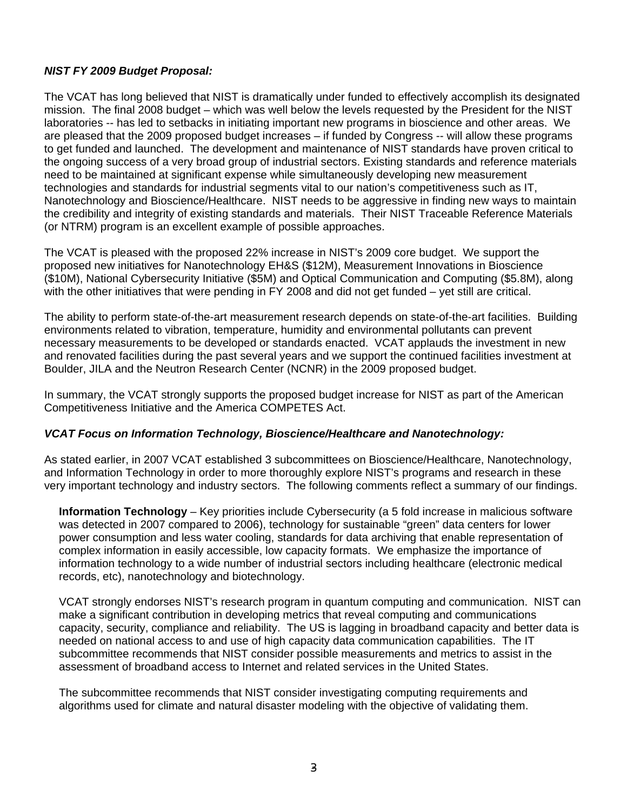## *NIST FY 2009 Budget Proposal:*

The VCAT has long believed that NIST is dramatically under funded to effectively accomplish its designated mission. The final 2008 budget – which was well below the levels requested by the President for the NIST laboratories -- has led to setbacks in initiating important new programs in bioscience and other areas. We are pleased that the 2009 proposed budget increases – if funded by Congress -- will allow these programs to get funded and launched. The development and maintenance of NIST standards have proven critical to the ongoing success of a very broad group of industrial sectors. Existing standards and reference materials need to be maintained at significant expense while simultaneously developing new measurement technologies and standards for industrial segments vital to our nation's competitiveness such as IT, Nanotechnology and Bioscience/Healthcare. NIST needs to be aggressive in finding new ways to maintain the credibility and integrity of existing standards and materials. Their NIST Traceable Reference Materials (or NTRM) program is an excellent example of possible approaches.

The VCAT is pleased with the proposed 22% increase in NIST's 2009 core budget. We support the proposed new initiatives for Nanotechnology EH&S (\$12M), Measurement Innovations in Bioscience (\$10M), National Cybersecurity Initiative (\$5M) and Optical Communication and Computing (\$5.8M), along with the other initiatives that were pending in FY 2008 and did not get funded – yet still are critical.

The ability to perform state-of-the-art measurement research depends on state-of-the-art facilities. Building environments related to vibration, temperature, humidity and environmental pollutants can prevent necessary measurements to be developed or standards enacted. VCAT applauds the investment in new and renovated facilities during the past several years and we support the continued facilities investment at Boulder, JILA and the Neutron Research Center (NCNR) in the 2009 proposed budget.

In summary, the VCAT strongly supports the proposed budget increase for NIST as part of the American Competitiveness Initiative and the America COMPETES Act.

#### *VCAT Focus on Information Technology, Bioscience/Healthcare and Nanotechnology:*

As stated earlier, in 2007 VCAT established 3 subcommittees on Bioscience/Healthcare, Nanotechnology, and Information Technology in order to more thoroughly explore NIST's programs and research in these very important technology and industry sectors. The following comments reflect a summary of our findings.

**Information Technology** – Key priorities include Cybersecurity (a 5 fold increase in malicious software was detected in 2007 compared to 2006), technology for sustainable "green" data centers for lower power consumption and less water cooling, standards for data archiving that enable representation of complex information in easily accessible, low capacity formats. We emphasize the importance of information technology to a wide number of industrial sectors including healthcare (electronic medical records, etc), nanotechnology and biotechnology.

VCAT strongly endorses NIST's research program in quantum computing and communication. NIST can make a significant contribution in developing metrics that reveal computing and communications capacity, security, compliance and reliability. The US is lagging in broadband capacity and better data is needed on national access to and use of high capacity data communication capabilities. The IT subcommittee recommends that NIST consider possible measurements and metrics to assist in the assessment of broadband access to Internet and related services in the United States.

The subcommittee recommends that NIST consider investigating computing requirements and algorithms used for climate and natural disaster modeling with the objective of validating them.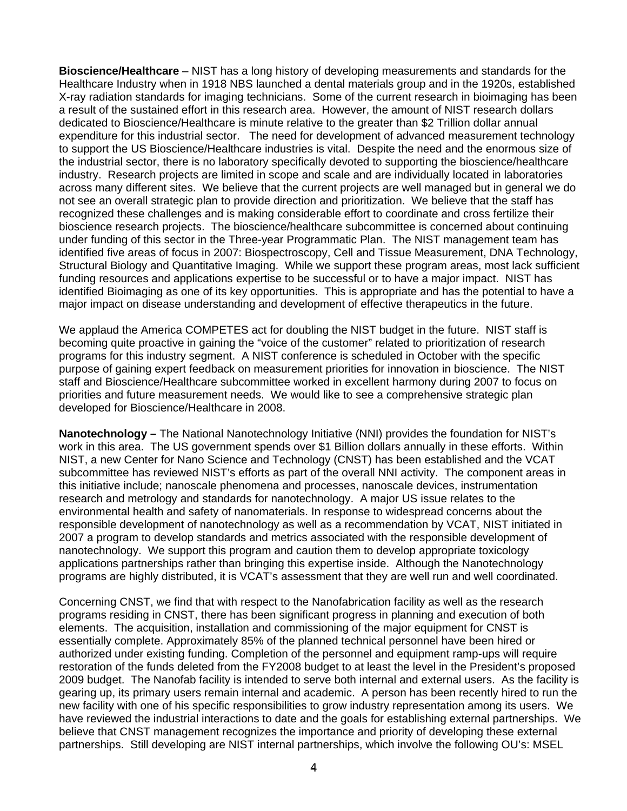**Bioscience/Healthcare** – NIST has a long history of developing measurements and standards for the Healthcare Industry when in 1918 NBS launched a dental materials group and in the 1920s, established X-ray radiation standards for imaging technicians. Some of the current research in bioimaging has been a result of the sustained effort in this research area. However, the amount of NIST research dollars dedicated to Bioscience/Healthcare is minute relative to the greater than \$2 Trillion dollar annual expenditure for this industrial sector. The need for development of advanced measurement technology to support the US Bioscience/Healthcare industries is vital. Despite the need and the enormous size of the industrial sector, there is no laboratory specifically devoted to supporting the bioscience/healthcare industry. Research projects are limited in scope and scale and are individually located in laboratories across many different sites. We believe that the current projects are well managed but in general we do not see an overall strategic plan to provide direction and prioritization. We believe that the staff has recognized these challenges and is making considerable effort to coordinate and cross fertilize their bioscience research projects. The bioscience/healthcare subcommittee is concerned about continuing under funding of this sector in the Three-year Programmatic Plan. The NIST management team has identified five areas of focus in 2007: Biospectroscopy, Cell and Tissue Measurement, DNA Technology, Structural Biology and Quantitative Imaging. While we support these program areas, most lack sufficient funding resources and applications expertise to be successful or to have a major impact. NIST has identified Bioimaging as one of its key opportunities. This is appropriate and has the potential to have a major impact on disease understanding and development of effective therapeutics in the future.

We applaud the America COMPETES act for doubling the NIST budget in the future. NIST staff is becoming quite proactive in gaining the "voice of the customer" related to prioritization of research programs for this industry segment. A NIST conference is scheduled in October with the specific purpose of gaining expert feedback on measurement priorities for innovation in bioscience. The NIST staff and Bioscience/Healthcare subcommittee worked in excellent harmony during 2007 to focus on priorities and future measurement needs. We would like to see a comprehensive strategic plan developed for Bioscience/Healthcare in 2008.

**Nanotechnology –** The National Nanotechnology Initiative (NNI) provides the foundation for NIST's work in this area. The US government spends over \$1 Billion dollars annually in these efforts. Within NIST, a new Center for Nano Science and Technology (CNST) has been established and the VCAT subcommittee has reviewed NIST's efforts as part of the overall NNI activity. The component areas in this initiative include; nanoscale phenomena and processes, nanoscale devices, instrumentation research and metrology and standards for nanotechnology. A major US issue relates to the environmental health and safety of nanomaterials. In response to widespread concerns about the responsible development of nanotechnology as well as a recommendation by VCAT, NIST initiated in 2007 a program to develop standards and metrics associated with the responsible development of nanotechnology. We support this program and caution them to develop appropriate toxicology applications partnerships rather than bringing this expertise inside. Although the Nanotechnology programs are highly distributed, it is VCAT's assessment that they are well run and well coordinated.

Concerning CNST, we find that with respect to the Nanofabrication facility as well as the research programs residing in CNST, there has been significant progress in planning and execution of both elements. The acquisition, installation and commissioning of the major equipment for CNST is essentially complete. Approximately 85% of the planned technical personnel have been hired or authorized under existing funding. Completion of the personnel and equipment ramp-ups will require restoration of the funds deleted from the FY2008 budget to at least the level in the President's proposed 2009 budget. The Nanofab facility is intended to serve both internal and external users. As the facility is gearing up, its primary users remain internal and academic. A person has been recently hired to run the new facility with one of his specific responsibilities to grow industry representation among its users. We have reviewed the industrial interactions to date and the goals for establishing external partnerships. We believe that CNST management recognizes the importance and priority of developing these external partnerships. Still developing are NIST internal partnerships, which involve the following OU's: MSEL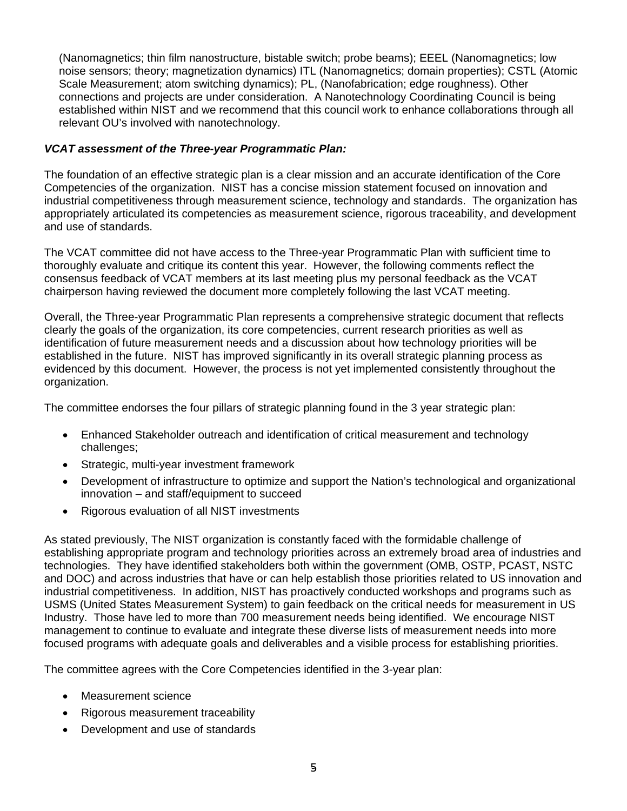(Nanomagnetics; thin film nanostructure, bistable switch; probe beams); EEEL (Nanomagnetics; low noise sensors; theory; magnetization dynamics) ITL (Nanomagnetics; domain properties); CSTL (Atomic Scale Measurement; atom switching dynamics); PL, (Nanofabrication; edge roughness). Other connections and projects are under consideration. A Nanotechnology Coordinating Council is being established within NIST and we recommend that this council work to enhance collaborations through all relevant OU's involved with nanotechnology.

## *VCAT assessment of the Three-year Programmatic Plan:*

The foundation of an effective strategic plan is a clear mission and an accurate identification of the Core Competencies of the organization. NIST has a concise mission statement focused on innovation and industrial competitiveness through measurement science, technology and standards. The organization has appropriately articulated its competencies as measurement science, rigorous traceability, and development and use of standards.

The VCAT committee did not have access to the Three-year Programmatic Plan with sufficient time to thoroughly evaluate and critique its content this year. However, the following comments reflect the consensus feedback of VCAT members at its last meeting plus my personal feedback as the VCAT chairperson having reviewed the document more completely following the last VCAT meeting.

Overall, the Three-year Programmatic Plan represents a comprehensive strategic document that reflects clearly the goals of the organization, its core competencies, current research priorities as well as identification of future measurement needs and a discussion about how technology priorities will be established in the future. NIST has improved significantly in its overall strategic planning process as evidenced by this document. However, the process is not yet implemented consistently throughout the organization.

The committee endorses the four pillars of strategic planning found in the 3 year strategic plan:

- Enhanced Stakeholder outreach and identification of critical measurement and technology challenges;
- Strategic, multi-year investment framework
- Development of infrastructure to optimize and support the Nation's technological and organizational innovation – and staff/equipment to succeed
- Rigorous evaluation of all NIST investments

As stated previously, The NIST organization is constantly faced with the formidable challenge of establishing appropriate program and technology priorities across an extremely broad area of industries and technologies. They have identified stakeholders both within the government (OMB, OSTP, PCAST, NSTC and DOC) and across industries that have or can help establish those priorities related to US innovation and industrial competitiveness. In addition, NIST has proactively conducted workshops and programs such as USMS (United States Measurement System) to gain feedback on the critical needs for measurement in US Industry. Those have led to more than 700 measurement needs being identified. We encourage NIST management to continue to evaluate and integrate these diverse lists of measurement needs into more focused programs with adequate goals and deliverables and a visible process for establishing priorities.

The committee agrees with the Core Competencies identified in the 3-year plan:

- Measurement science
- Rigorous measurement traceability
- Development and use of standards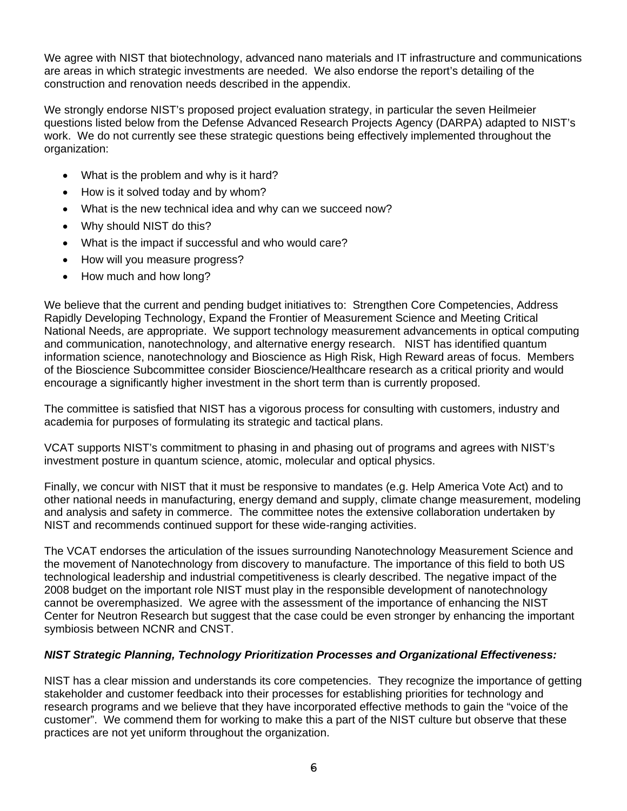We agree with NIST that biotechnology, advanced nano materials and IT infrastructure and communications are areas in which strategic investments are needed. We also endorse the report's detailing of the construction and renovation needs described in the appendix.

We strongly endorse NIST's proposed project evaluation strategy, in particular the seven Heilmeier questions listed below from the Defense Advanced Research Projects Agency (DARPA) adapted to NIST's work. We do not currently see these strategic questions being effectively implemented throughout the organization:

- What is the problem and why is it hard?
- How is it solved today and by whom?
- What is the new technical idea and why can we succeed now?
- Why should NIST do this?
- What is the impact if successful and who would care?
- How will you measure progress?
- How much and how long?

We believe that the current and pending budget initiatives to: Strengthen Core Competencies, Address Rapidly Developing Technology, Expand the Frontier of Measurement Science and Meeting Critical National Needs, are appropriate. We support technology measurement advancements in optical computing and communication, nanotechnology, and alternative energy research. NIST has identified quantum information science, nanotechnology and Bioscience as High Risk, High Reward areas of focus. Members of the Bioscience Subcommittee consider Bioscience/Healthcare research as a critical priority and would encourage a significantly higher investment in the short term than is currently proposed.

The committee is satisfied that NIST has a vigorous process for consulting with customers, industry and academia for purposes of formulating its strategic and tactical plans.

VCAT supports NIST's commitment to phasing in and phasing out of programs and agrees with NIST's investment posture in quantum science, atomic, molecular and optical physics.

Finally, we concur with NIST that it must be responsive to mandates (e.g. Help America Vote Act) and to other national needs in manufacturing, energy demand and supply, climate change measurement, modeling and analysis and safety in commerce. The committee notes the extensive collaboration undertaken by NIST and recommends continued support for these wide-ranging activities.

The VCAT endorses the articulation of the issues surrounding Nanotechnology Measurement Science and the movement of Nanotechnology from discovery to manufacture. The importance of this field to both US technological leadership and industrial competitiveness is clearly described. The negative impact of the 2008 budget on the important role NIST must play in the responsible development of nanotechnology cannot be overemphasized. We agree with the assessment of the importance of enhancing the NIST Center for Neutron Research but suggest that the case could be even stronger by enhancing the important symbiosis between NCNR and CNST.

#### *NIST Strategic Planning, Technology Prioritization Processes and Organizational Effectiveness:*

NIST has a clear mission and understands its core competencies. They recognize the importance of getting stakeholder and customer feedback into their processes for establishing priorities for technology and research programs and we believe that they have incorporated effective methods to gain the "voice of the customer". We commend them for working to make this a part of the NIST culture but observe that these practices are not yet uniform throughout the organization.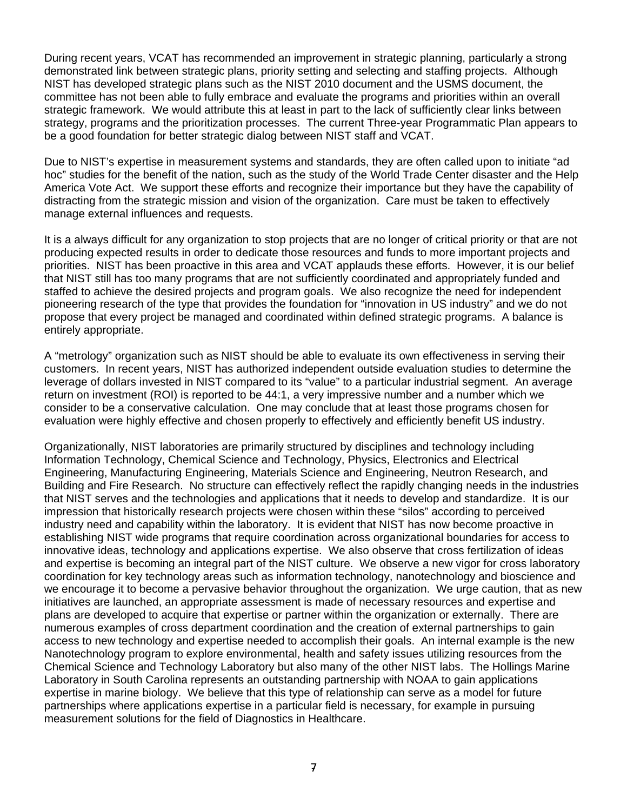During recent years, VCAT has recommended an improvement in strategic planning, particularly a strong demonstrated link between strategic plans, priority setting and selecting and staffing projects. Although NIST has developed strategic plans such as the NIST 2010 document and the USMS document, the committee has not been able to fully embrace and evaluate the programs and priorities within an overall strategic framework. We would attribute this at least in part to the lack of sufficiently clear links between strategy, programs and the prioritization processes. The current Three-year Programmatic Plan appears to be a good foundation for better strategic dialog between NIST staff and VCAT.

Due to NIST's expertise in measurement systems and standards, they are often called upon to initiate "ad hoc" studies for the benefit of the nation, such as the study of the World Trade Center disaster and the Help America Vote Act. We support these efforts and recognize their importance but they have the capability of distracting from the strategic mission and vision of the organization. Care must be taken to effectively manage external influences and requests.

It is a always difficult for any organization to stop projects that are no longer of critical priority or that are not producing expected results in order to dedicate those resources and funds to more important projects and priorities. NIST has been proactive in this area and VCAT applauds these efforts. However, it is our belief that NIST still has too many programs that are not sufficiently coordinated and appropriately funded and staffed to achieve the desired projects and program goals. We also recognize the need for independent pioneering research of the type that provides the foundation for "innovation in US industry" and we do not propose that every project be managed and coordinated within defined strategic programs. A balance is entirely appropriate.

A "metrology" organization such as NIST should be able to evaluate its own effectiveness in serving their customers. In recent years, NIST has authorized independent outside evaluation studies to determine the leverage of dollars invested in NIST compared to its "value" to a particular industrial segment. An average return on investment (ROI) is reported to be 44:1, a very impressive number and a number which we consider to be a conservative calculation. One may conclude that at least those programs chosen for evaluation were highly effective and chosen properly to effectively and efficiently benefit US industry.

Organizationally, NIST laboratories are primarily structured by disciplines and technology including Information Technology, Chemical Science and Technology, Physics, Electronics and Electrical Engineering, Manufacturing Engineering, Materials Science and Engineering, Neutron Research, and Building and Fire Research. No structure can effectively reflect the rapidly changing needs in the industries that NIST serves and the technologies and applications that it needs to develop and standardize. It is our impression that historically research projects were chosen within these "silos" according to perceived industry need and capability within the laboratory. It is evident that NIST has now become proactive in establishing NIST wide programs that require coordination across organizational boundaries for access to innovative ideas, technology and applications expertise. We also observe that cross fertilization of ideas and expertise is becoming an integral part of the NIST culture. We observe a new vigor for cross laboratory coordination for key technology areas such as information technology, nanotechnology and bioscience and we encourage it to become a pervasive behavior throughout the organization. We urge caution, that as new initiatives are launched, an appropriate assessment is made of necessary resources and expertise and plans are developed to acquire that expertise or partner within the organization or externally. There are numerous examples of cross department coordination and the creation of external partnerships to gain access to new technology and expertise needed to accomplish their goals. An internal example is the new Nanotechnology program to explore environmental, health and safety issues utilizing resources from the Chemical Science and Technology Laboratory but also many of the other NIST labs. The Hollings Marine Laboratory in South Carolina represents an outstanding partnership with NOAA to gain applications expertise in marine biology. We believe that this type of relationship can serve as a model for future partnerships where applications expertise in a particular field is necessary, for example in pursuing measurement solutions for the field of Diagnostics in Healthcare.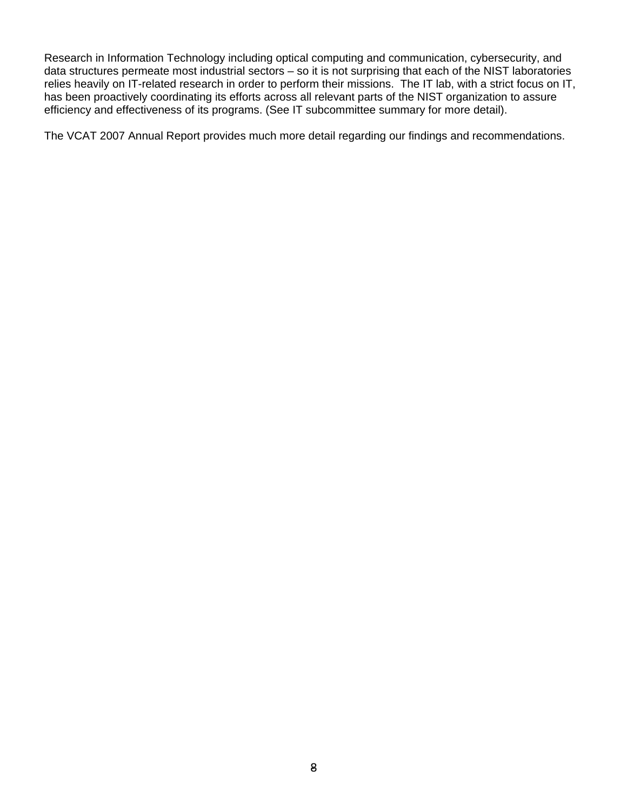Research in Information Technology including optical computing and communication, cybersecurity, and data structures permeate most industrial sectors – so it is not surprising that each of the NIST laboratories relies heavily on IT-related research in order to perform their missions. The IT lab, with a strict focus on IT, has been proactively coordinating its efforts across all relevant parts of the NIST organization to assure efficiency and effectiveness of its programs. (See IT subcommittee summary for more detail).

The VCAT 2007 Annual Report provides much more detail regarding our findings and recommendations.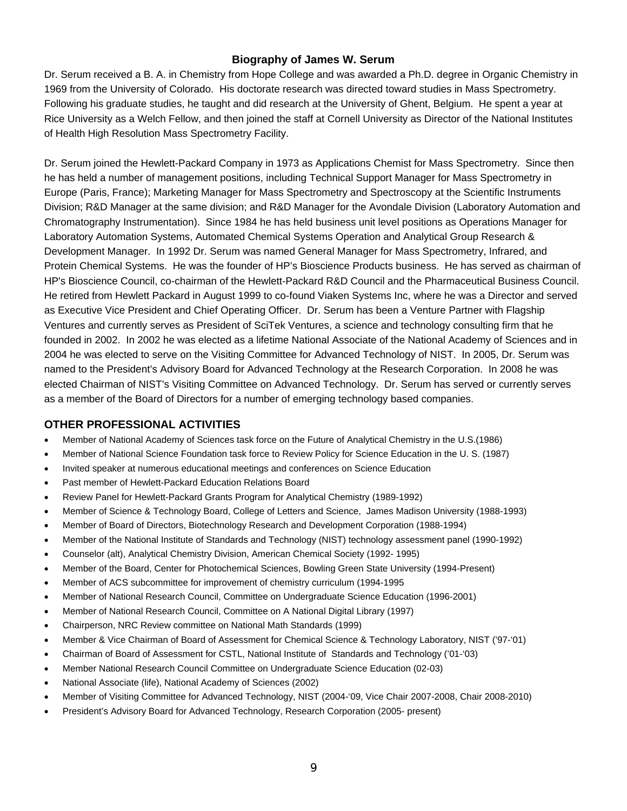#### **Biography of James W. Serum**

Dr. Serum received a B. A. in Chemistry from Hope College and was awarded a Ph.D. degree in Organic Chemistry in 1969 from the University of Colorado. His doctorate research was directed toward studies in Mass Spectrometry. Following his graduate studies, he taught and did research at the University of Ghent, Belgium. He spent a year at Rice University as a Welch Fellow, and then joined the staff at Cornell University as Director of the National Institutes of Health High Resolution Mass Spectrometry Facility.

Dr. Serum joined the Hewlett-Packard Company in 1973 as Applications Chemist for Mass Spectrometry. Since then he has held a number of management positions, including Technical Support Manager for Mass Spectrometry in Europe (Paris, France); Marketing Manager for Mass Spectrometry and Spectroscopy at the Scientific Instruments Division; R&D Manager at the same division; and R&D Manager for the Avondale Division (Laboratory Automation and Chromatography Instrumentation). Since 1984 he has held business unit level positions as Operations Manager for Laboratory Automation Systems, Automated Chemical Systems Operation and Analytical Group Research & Development Manager. In 1992 Dr. Serum was named General Manager for Mass Spectrometry, Infrared, and Protein Chemical Systems. He was the founder of HP's Bioscience Products business. He has served as chairman of HP's Bioscience Council, co-chairman of the Hewlett-Packard R&D Council and the Pharmaceutical Business Council. He retired from Hewlett Packard in August 1999 to co-found Viaken Systems Inc, where he was a Director and served as Executive Vice President and Chief Operating Officer. Dr. Serum has been a Venture Partner with Flagship Ventures and currently serves as President of SciTek Ventures, a science and technology consulting firm that he founded in 2002. In 2002 he was elected as a lifetime National Associate of the National Academy of Sciences and in 2004 he was elected to serve on the Visiting Committee for Advanced Technology of NIST. In 2005, Dr. Serum was named to the President's Advisory Board for Advanced Technology at the Research Corporation. In 2008 he was elected Chairman of NIST's Visiting Committee on Advanced Technology. Dr. Serum has served or currently serves as a member of the Board of Directors for a number of emerging technology based companies.

#### **OTHER PROFESSIONAL ACTIVITIES**

- Member of National Academy of Sciences task force on the Future of Analytical Chemistry in the U.S.(1986)
- Member of National Science Foundation task force to Review Policy for Science Education in the U. S. (1987)
- Invited speaker at numerous educational meetings and conferences on Science Education
- Past member of Hewlett-Packard Education Relations Board
- Review Panel for Hewlett-Packard Grants Program for Analytical Chemistry (1989-1992)
- Member of Science & Technology Board, College of Letters and Science, James Madison University (1988-1993)
- Member of Board of Directors, Biotechnology Research and Development Corporation (1988-1994)
- Member of the National Institute of Standards and Technology (NIST) technology assessment panel (1990-1992)
- Counselor (alt), Analytical Chemistry Division, American Chemical Society (1992- 1995)
- Member of the Board, Center for Photochemical Sciences, Bowling Green State University (1994-Present)
- Member of ACS subcommittee for improvement of chemistry curriculum (1994-1995
- Member of National Research Council, Committee on Undergraduate Science Education (1996-2001)
- Member of National Research Council, Committee on A National Digital Library (1997)
- Chairperson, NRC Review committee on National Math Standards (1999)
- Member & Vice Chairman of Board of Assessment for Chemical Science & Technology Laboratory, NIST ('97-'01)
- Chairman of Board of Assessment for CSTL, National Institute of Standards and Technology ('01-'03)
- Member National Research Council Committee on Undergraduate Science Education (02-03)
- National Associate (life), National Academy of Sciences (2002)
- Member of Visiting Committee for Advanced Technology, NIST (2004-'09, Vice Chair 2007-2008, Chair 2008-2010)
- President's Advisory Board for Advanced Technology, Research Corporation (2005- present)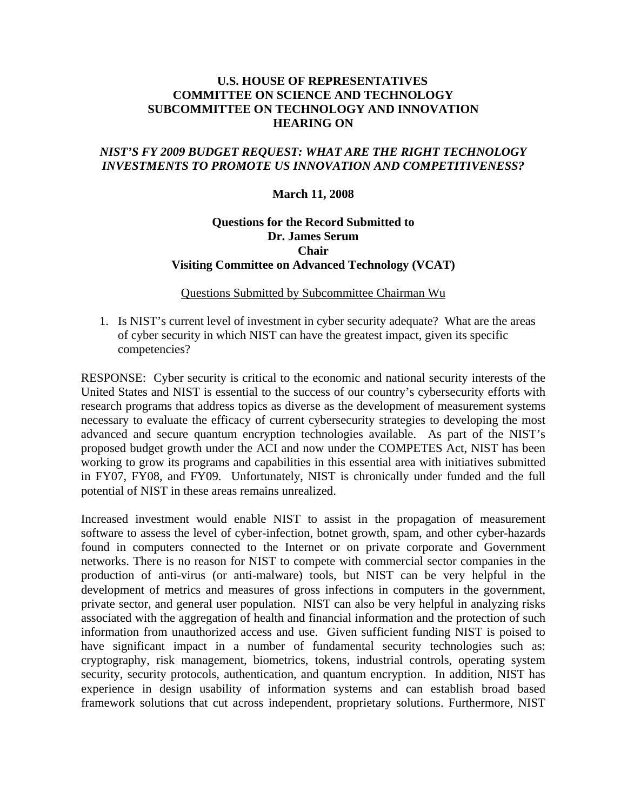### **U.S. HOUSE OF REPRESENTATIVES COMMITTEE ON SCIENCE AND TECHNOLOGY SUBCOMMITTEE ON TECHNOLOGY AND INNOVATION HEARING ON**

## *NIST'S FY 2009 BUDGET REQUEST: WHAT ARE THE RIGHT TECHNOLOGY INVESTMENTS TO PROMOTE US INNOVATION AND COMPETITIVENESS?*

### **March 11, 2008**

## **Questions for the Record Submitted to Dr. James Serum Chair Visiting Committee on Advanced Technology (VCAT)**

#### Questions Submitted by Subcommittee Chairman Wu

1. Is NIST's current level of investment in cyber security adequate? What are the areas of cyber security in which NIST can have the greatest impact, given its specific competencies?

RESPONSE: Cyber security is critical to the economic and national security interests of the United States and NIST is essential to the success of our country's cybersecurity efforts with research programs that address topics as diverse as the development of measurement systems necessary to evaluate the efficacy of current cybersecurity strategies to developing the most advanced and secure quantum encryption technologies available. As part of the NIST's proposed budget growth under the ACI and now under the COMPETES Act, NIST has been working to grow its programs and capabilities in this essential area with initiatives submitted in FY07, FY08, and FY09. Unfortunately, NIST is chronically under funded and the full potential of NIST in these areas remains unrealized.

Increased investment would enable NIST to assist in the propagation of measurement software to assess the level of cyber-infection, botnet growth, spam, and other cyber-hazards found in computers connected to the Internet or on private corporate and Government networks. There is no reason for NIST to compete with commercial sector companies in the production of anti-virus (or anti-malware) tools, but NIST can be very helpful in the development of metrics and measures of gross infections in computers in the government, private sector, and general user population. NIST can also be very helpful in analyzing risks associated with the aggregation of health and financial information and the protection of such information from unauthorized access and use. Given sufficient funding NIST is poised to have significant impact in a number of fundamental security technologies such as: cryptography, risk management, biometrics, tokens, industrial controls, operating system security, security protocols, authentication, and quantum encryption. In addition, NIST has experience in design usability of information systems and can establish broad based framework solutions that cut across independent, proprietary solutions. Furthermore, NIST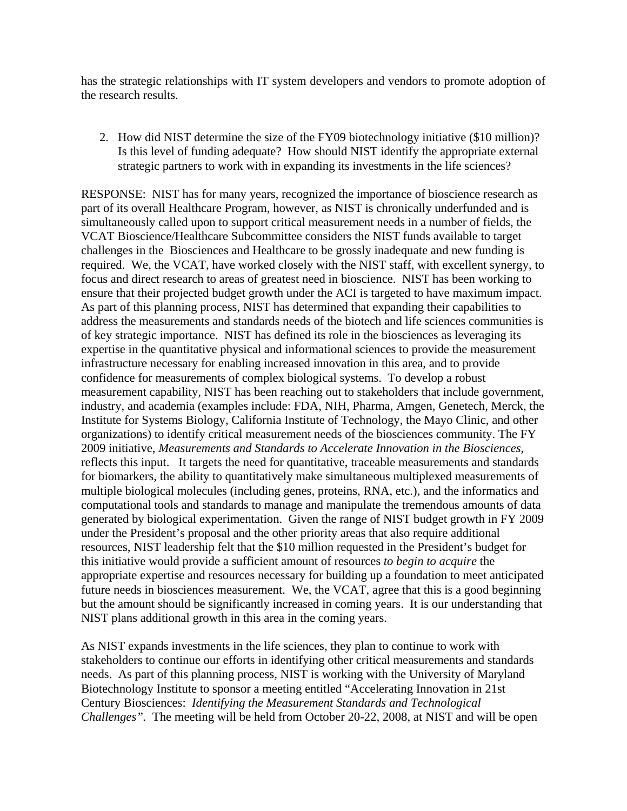has the strategic relationships with IT system developers and vendors to promote adoption of the research results.

2. How did NIST determine the size of the FY09 biotechnology initiative (\$10 million)? Is this level of funding adequate? How should NIST identify the appropriate external strategic partners to work with in expanding its investments in the life sciences?

RESPONSE: NIST has for many years, recognized the importance of bioscience research as part of its overall Healthcare Program, however, as NIST is chronically underfunded and is simultaneously called upon to support critical measurement needs in a number of fields, the VCAT Bioscience/Healthcare Subcommittee considers the NIST funds available to target challenges in the Biosciences and Healthcare to be grossly inadequate and new funding is required. We, the VCAT, have worked closely with the NIST staff, with excellent synergy, to focus and direct research to areas of greatest need in bioscience. NIST has been working to ensure that their projected budget growth under the ACI is targeted to have maximum impact. As part of this planning process, NIST has determined that expanding their capabilities to address the measurements and standards needs of the biotech and life sciences communities is of key strategic importance. NIST has defined its role in the biosciences as leveraging its expertise in the quantitative physical and informational sciences to provide the measurement infrastructure necessary for enabling increased innovation in this area, and to provide confidence for measurements of complex biological systems. To develop a robust measurement capability, NIST has been reaching out to stakeholders that include government, industry, and academia (examples include: FDA, NIH, Pharma, Amgen, Genetech, Merck, the Institute for Systems Biology, California Institute of Technology, the Mayo Clinic, and other organizations) to identify critical measurement needs of the biosciences community. The FY 2009 initiative, *Measurements and Standards to Accelerate Innovation in the Biosciences*, reflects this input. It targets the need for quantitative, traceable measurements and standards for biomarkers, the ability to quantitatively make simultaneous multiplexed measurements of multiple biological molecules (including genes, proteins, RNA, etc.), and the informatics and computational tools and standards to manage and manipulate the tremendous amounts of data generated by biological experimentation. Given the range of NIST budget growth in FY 2009 under the President's proposal and the other priority areas that also require additional resources, NIST leadership felt that the \$10 million requested in the President's budget for this initiative would provide a sufficient amount of resources *to begin to acquire* the appropriate expertise and resources necessary for building up a foundation to meet anticipated future needs in biosciences measurement. We, the VCAT, agree that this is a good beginning but the amount should be significantly increased in coming years. It is our understanding that NIST plans additional growth in this area in the coming years.

As NIST expands investments in the life sciences, they plan to continue to work with stakeholders to continue our efforts in identifying other critical measurements and standards needs. As part of this planning process, NIST is working with the University of Maryland Biotechnology Institute to sponsor a meeting entitled "Accelerating Innovation in 21st Century Biosciences: *Identifying the Measurement Standards and Technological Challenges".* The meeting will be held from October 20-22, 2008, at NIST and will be open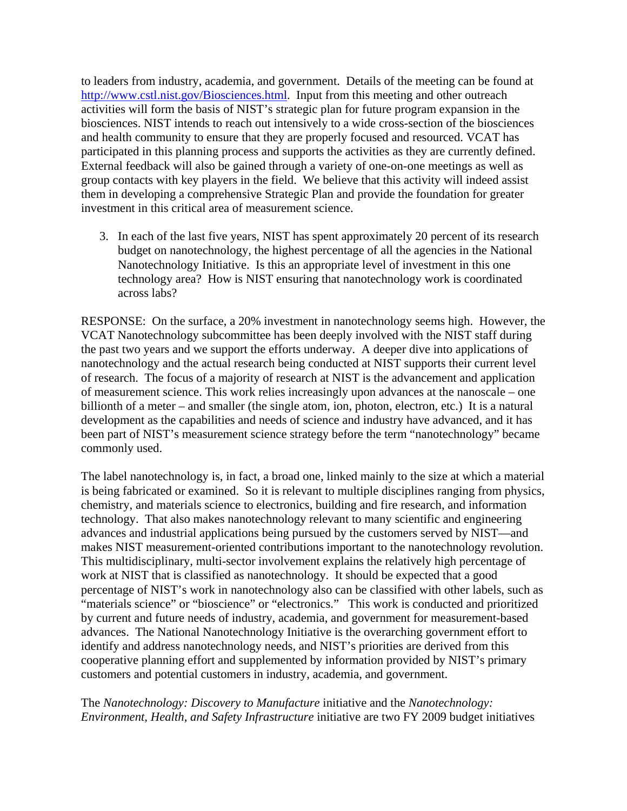to leaders from industry, academia, and government. Details of the meeting can be found at <http://www.cstl.nist.gov/Biosciences.html>. Input from this meeting and other outreach activities will form the basis of NIST's strategic plan for future program expansion in the biosciences. NIST intends to reach out intensively to a wide cross-section of the biosciences and health community to ensure that they are properly focused and resourced. VCAT has participated in this planning process and supports the activities as they are currently defined. External feedback will also be gained through a variety of one-on-one meetings as well as group contacts with key players in the field. We believe that this activity will indeed assist them in developing a comprehensive Strategic Plan and provide the foundation for greater investment in this critical area of measurement science.

3. In each of the last five years, NIST has spent approximately 20 percent of its research budget on nanotechnology, the highest percentage of all the agencies in the National Nanotechnology Initiative. Is this an appropriate level of investment in this one technology area? How is NIST ensuring that nanotechnology work is coordinated across labs?

RESPONSE: On the surface, a 20% investment in nanotechnology seems high. However, the VCAT Nanotechnology subcommittee has been deeply involved with the NIST staff during the past two years and we support the efforts underway. A deeper dive into applications of nanotechnology and the actual research being conducted at NIST supports their current level of research. The focus of a majority of research at NIST is the advancement and application of measurement science. This work relies increasingly upon advances at the nanoscale – one billionth of a meter – and smaller (the single atom, ion, photon, electron, etc.) It is a natural development as the capabilities and needs of science and industry have advanced, and it has been part of NIST's measurement science strategy before the term "nanotechnology" became commonly used.

The label nanotechnology is, in fact, a broad one, linked mainly to the size at which a material is being fabricated or examined. So it is relevant to multiple disciplines ranging from physics, chemistry, and materials science to electronics, building and fire research, and information technology. That also makes nanotechnology relevant to many scientific and engineering advances and industrial applications being pursued by the customers served by NIST—and makes NIST measurement-oriented contributions important to the nanotechnology revolution. This multidisciplinary, multi-sector involvement explains the relatively high percentage of work at NIST that is classified as nanotechnology. It should be expected that a good percentage of NIST's work in nanotechnology also can be classified with other labels, such as "materials science" or "bioscience" or "electronics." This work is conducted and prioritized by current and future needs of industry, academia, and government for measurement-based advances. The National Nanotechnology Initiative is the overarching government effort to identify and address nanotechnology needs, and NIST's priorities are derived from this cooperative planning effort and supplemented by information provided by NIST's primary customers and potential customers in industry, academia, and government.

The *Nanotechnology: Discovery to Manufacture* initiative and the *Nanotechnology: Environment, Health, and Safety Infrastructure* initiative are two FY 2009 budget initiatives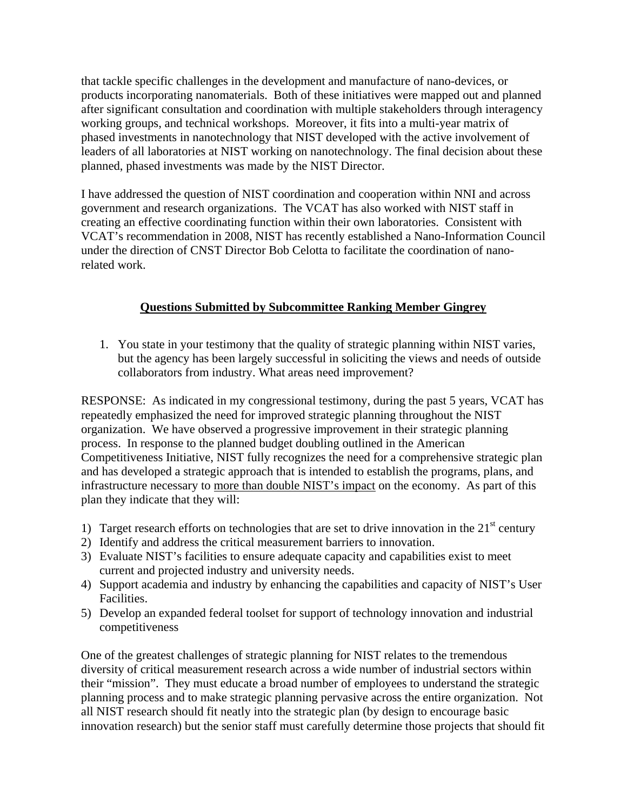that tackle specific challenges in the development and manufacture of nano-devices, or products incorporating nanomaterials. Both of these initiatives were mapped out and planned after significant consultation and coordination with multiple stakeholders through interagency working groups, and technical workshops. Moreover, it fits into a multi-year matrix of phased investments in nanotechnology that NIST developed with the active involvement of leaders of all laboratories at NIST working on nanotechnology. The final decision about these planned, phased investments was made by the NIST Director.

I have addressed the question of NIST coordination and cooperation within NNI and across government and research organizations. The VCAT has also worked with NIST staff in creating an effective coordinating function within their own laboratories. Consistent with VCAT's recommendation in 2008, NIST has recently established a Nano-Information Council under the direction of CNST Director Bob Celotta to facilitate the coordination of nanorelated work.

# **Questions Submitted by Subcommittee Ranking Member Gingrey**

1. You state in your testimony that the quality of strategic planning within NIST varies, but the agency has been largely successful in soliciting the views and needs of outside collaborators from industry. What areas need improvement?

RESPONSE: As indicated in my congressional testimony, during the past 5 years, VCAT has repeatedly emphasized the need for improved strategic planning throughout the NIST organization. We have observed a progressive improvement in their strategic planning process. In response to the planned budget doubling outlined in the American Competitiveness Initiative, NIST fully recognizes the need for a comprehensive strategic plan and has developed a strategic approach that is intended to establish the programs, plans, and infrastructure necessary to more than double NIST's impact on the economy. As part of this plan they indicate that they will:

- 1) Target research efforts on technologies that are set to drive innovation in the  $21<sup>st</sup>$  century
- 2) Identify and address the critical measurement barriers to innovation.
- 3) Evaluate NIST's facilities to ensure adequate capacity and capabilities exist to meet current and projected industry and university needs.
- 4) Support academia and industry by enhancing the capabilities and capacity of NIST's User Facilities.
- 5) Develop an expanded federal toolset for support of technology innovation and industrial competitiveness

One of the greatest challenges of strategic planning for NIST relates to the tremendous diversity of critical measurement research across a wide number of industrial sectors within their "mission". They must educate a broad number of employees to understand the strategic planning process and to make strategic planning pervasive across the entire organization. Not all NIST research should fit neatly into the strategic plan (by design to encourage basic innovation research) but the senior staff must carefully determine those projects that should fit